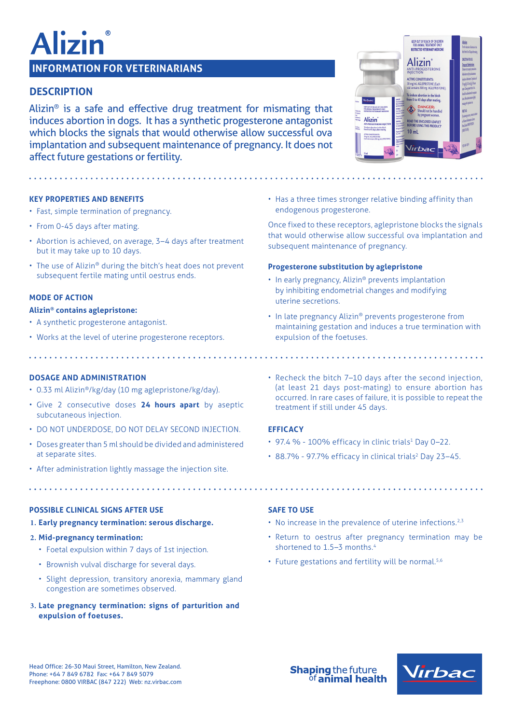# lizir

# **INFORMATION FOR VETERINARIANS**

# **DESCRIPTION**

Alizin® is a safe and effective drug treatment for mismating that induces abortion in dogs. It has a synthetic progesterone antagonist which blocks the signals that would otherwise allow successful ova implantation and subsequent maintenance of pregnancy. It does not affect future gestations or fertility.

# **KEY PROPERTIES AND BENEFITS**

- Fast, simple termination of pregnancy.
- From 0-45 days after mating.
- Abortion is achieved, on average, 3–4 days after treatment but it may take up to 10 days.
- The use of Alizin® during the bitch's heat does not prevent subsequent fertile mating until oestrus ends.

## **MODE OF ACTION**

#### **Alizin® contains aglepristone:**

- A synthetic progesterone antagonist.
- Works at the level of uterine progesterone receptors.

## **DOSAGE AND ADMINISTRATION**

- 0.33 ml Alizin®/kg/day (10 mg aglepristone/kg/day).
- Give 2 consecutive doses **24 hours apart** by aseptic subcutaneous injection.
- DO NOT UNDERDOSE, DO NOT DELAY SECOND INJECTION.
- Doses greater than 5 ml should be divided and administered at separate sites.
- After administration lightly massage the injection site.

## **POSSIBLE CLINICAL SIGNS AFTER USE**

**1. Early pregnancy termination: serous discharge.**

#### **2. Mid-pregnancy termination:**

- Foetal expulsion within 7 days of 1st injection.
- Brownish vulval discharge for several days.
- Slight depression, transitory anorexia, mammary gland congestion are sometimes observed.
- **3. Late pregnancy termination: signs of parturition and expulsion of foetuses.**

• Recheck the bitch 7–10 days after the second injection, (at least 21 days post-mating) to ensure abortion has occurred. In rare cases of failure, it is possible to repeat the treatment if still under 45 days.

• Has a three times stronger relative binding affinity than

Once fixed to these receptors, aglepristone blocks the signals that would otherwise allow successful ova implantation and

endogenous progesterone.

uterine secretions.

expulsion of the foetuses.

subsequent maintenance of pregnancy.

**Progesterone substitution by aglepristone**

• In early pregnancy, Alizin® prevents implantation by inhibiting endometrial changes and modifying

• In late pregnancy Alizin® prevents progesterone from maintaining gestation and induces a true termination with

# **EFFICACY**

- $\cdot$  97.4 % 100% efficacy in clinic trials<sup>1</sup> Day 0-22.
- 88.7% 97.7% efficacy in clinical trials<sup>2</sup> Day 23-45.

## **SAFE TO USE**

- $\cdot$  No increase in the prevalence of uterine infections.<sup>2,3</sup>
- Return to oestrus after pregnancy termination may be shortened to 1.5-3 months.<sup>4</sup>
- Future gestations and fertility will be normal.<sup>5,6</sup>

Head Office: 26-30 Maui Street, Hamilton, New Zealand. Phone: +64 7 849 6782 Fax: +64 7 849 5079 Freephone: 0800 VIRBAC (847 222) Web: nz.virbac.com **Shaping the future of animal health**